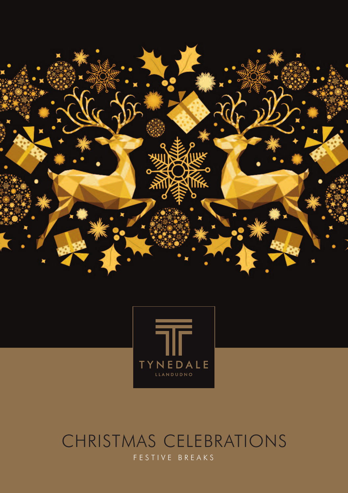



### CHRISTMAS CELEBRATIONS F E S T I V E B R E A K S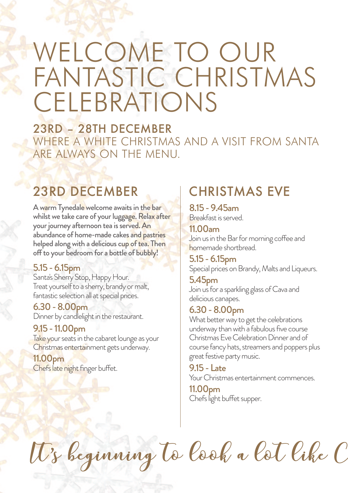# WELCOME TO OUR FANTASTIC CHRISTMAS **CELEBRATIONS**

23RD – 28TH DECEMBER WHERE A WHITE CHRISTMAS AND A VISIT FROM SANTA ARE ALWAYS ON THE MENU.

### 23RD DECEMBER

A warm Tynedale welcome awaits in the bar whilst we take care of your luggage. Relax after your journey afternoon tea is served. An abundance of home-made cakes and pastries helped along with a delicious cup of tea. Then off to your bedroom for a bottle of bubbly!

#### 5.15-6.15pm

Santa's Sherry Stop, Happy Hour. Treat yourself to a sherry, brandy or malt, fantastic selection all at special prices.

6.30-8.00pm Dinner by candlelight in the restaurant.

#### 9.15-11.00pm

Take your seats in the cabaret lounge as your Christmas entertainment gets underway.

11.00pm Chefs late night finger buffet.

# CHRISTMAS EVE

8.15-9.45am Breakfastisserved.

11.00am Join us in the Bar for morning coffee and homemade shortbread.

5.15-6.15pm Special prices on Brandy, Malts and Liqueurs.

#### 5.45pm Join us for a sparkling glass of Cava and delicious canapes.

#### 6.30-8.00pm

What better way to get the celebrations underway than with a fabulous five course Christmas Eve Celebration Dinner and of course fancy hats, streamers and poppers plus great festive party music.

9.15- Late Your Christmas entertainment commences.

11.00pm Chefs light buffet supper.

It's beginning to look a lot like C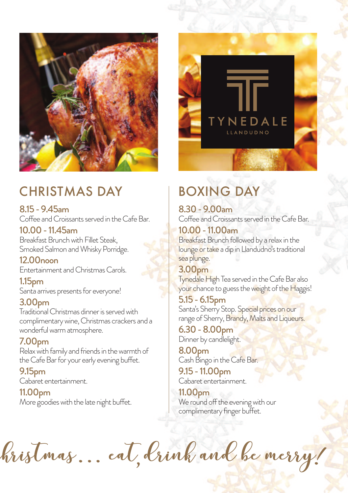

# CHRISTMAS DAY

8.15-9.45am Coffee and Croissants served in the Cafe Bar.

10.00-11.45am Breakfast Brunch with Fillet Steak, Smoked Salmon and Whisky Porridge.

12.00noon Entertainment and Christmas Carols.

1.15pm Santa arrives presents for everyone!

#### 3.00pm

Traditional Christmas dinner is served with complimentarywine,Christmas crackers and a wonderful warm atmosphere.

#### 7.00pm

Relax with family and friends in the warmth of the Cafe Bar for your early evening buffet.

9.15pm Cabaret entertainment.

11.00pm More goodies with the late night buffet.



# BOXING DAY

8.30-9.00am Coffee and Croissants served in the Cafe Bar.

10.00-11.00am Breakfast Brunch followed by a relax in the lounge or take a dip in Llandudno's traditional sea plunge.

3.00pm Tynedale High Tea served in the Cafe Bar also your chance to guess the weight of the Haggis!

5.15-6.15pm Santa's Sherry Stop. Special prices on our range of Sherry, Brandy, Malts and Liqueurs.

6.30-8.00pm Dinner by candlelight.

8.00pm Cash Bingo in the Cafe Bar.

9.15-11.00pm Cabaret entertainment.

11.00pm We round off the evening with our complimentary finger buffet.

bristmas... eat, brink and be merry! ,